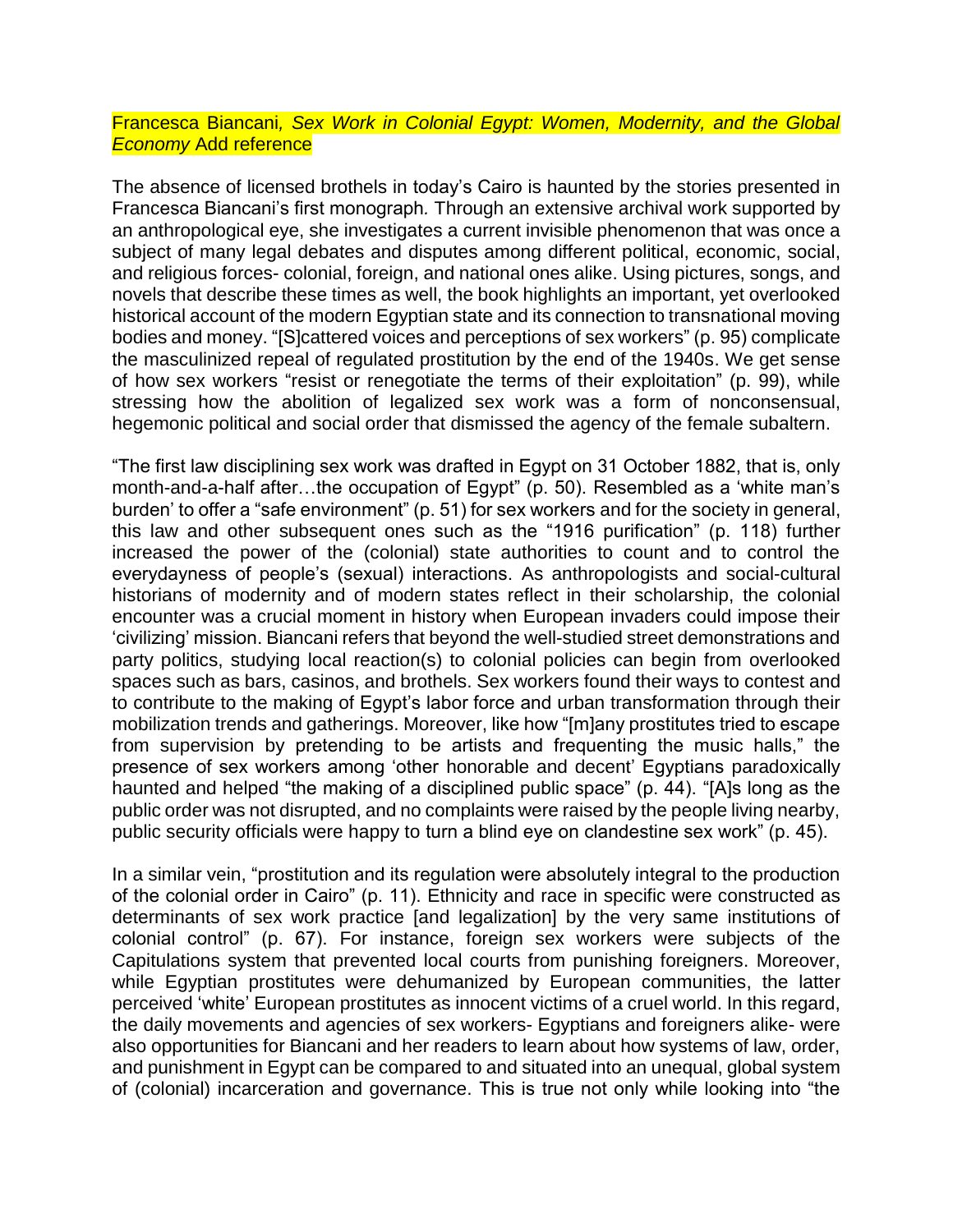Francesca Biancani*, Sex Work in Colonial Egypt: Women, Modernity, and the Global Economy* Add reference

The absence of licensed brothels in today's Cairo is haunted by the stories presented in Francesca Biancani's first monograph*.* Through an extensive archival work supported by an anthropological eye, she investigates a current invisible phenomenon that was once a subject of many legal debates and disputes among different political, economic, social, and religious forces- colonial, foreign, and national ones alike. Using pictures, songs, and novels that describe these times as well, the book highlights an important, yet overlooked historical account of the modern Egyptian state and its connection to transnational moving bodies and money. "[S]cattered voices and perceptions of sex workers" (p. 95) complicate the masculinized repeal of regulated prostitution by the end of the 1940s. We get sense of how sex workers "resist or renegotiate the terms of their exploitation" (p. 99), while stressing how the abolition of legalized sex work was a form of nonconsensual, hegemonic political and social order that dismissed the agency of the female subaltern.

"The first law disciplining sex work was drafted in Egypt on 31 October 1882, that is, only month-and-a-half after…the occupation of Egypt" (p. 50). Resembled as a 'white man's burden' to offer a "safe environment" (p. 51) for sex workers and for the society in general, this law and other subsequent ones such as the "1916 purification" (p. 118) further increased the power of the (colonial) state authorities to count and to control the everydayness of people's (sexual) interactions. As anthropologists and social-cultural historians of modernity and of modern states reflect in their scholarship, the colonial encounter was a crucial moment in history when European invaders could impose their 'civilizing' mission. Biancani refers that beyond the well-studied street demonstrations and party politics, studying local reaction(s) to colonial policies can begin from overlooked spaces such as bars, casinos, and brothels. Sex workers found their ways to contest and to contribute to the making of Egypt's labor force and urban transformation through their mobilization trends and gatherings. Moreover, like how "[m]any prostitutes tried to escape from supervision by pretending to be artists and frequenting the music halls," the presence of sex workers among 'other honorable and decent' Egyptians paradoxically haunted and helped "the making of a disciplined public space" (p. 44). "[A]s long as the public order was not disrupted, and no complaints were raised by the people living nearby, public security officials were happy to turn a blind eye on clandestine sex work" (p. 45).

In a similar vein, "prostitution and its regulation were absolutely integral to the production of the colonial order in Cairo" (p. 11). Ethnicity and race in specific were constructed as determinants of sex work practice [and legalization] by the very same institutions of colonial control" (p. 67). For instance, foreign sex workers were subjects of the Capitulations system that prevented local courts from punishing foreigners. Moreover, while Egyptian prostitutes were dehumanized by European communities, the latter perceived 'white' European prostitutes as innocent victims of a cruel world. In this regard, the daily movements and agencies of sex workers- Egyptians and foreigners alike- were also opportunities for Biancani and her readers to learn about how systems of law, order, and punishment in Egypt can be compared to and situated into an unequal, global system of (colonial) incarceration and governance. This is true not only while looking into "the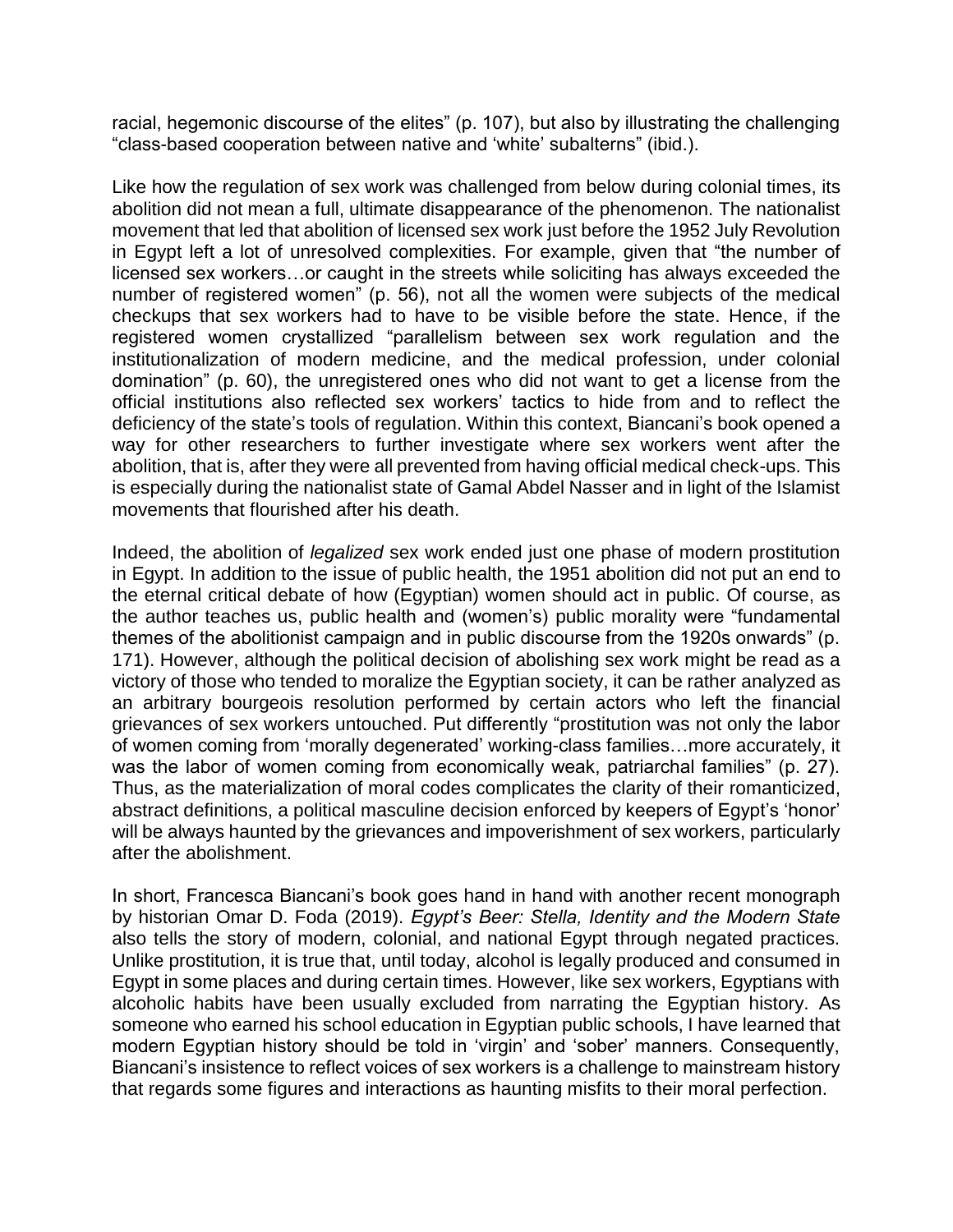racial, hegemonic discourse of the elites" (p. 107), but also by illustrating the challenging "class-based cooperation between native and 'white' subalterns" (ibid.).

Like how the regulation of sex work was challenged from below during colonial times, its abolition did not mean a full, ultimate disappearance of the phenomenon. The nationalist movement that led that abolition of licensed sex work just before the 1952 July Revolution in Egypt left a lot of unresolved complexities. For example, given that "the number of licensed sex workers…or caught in the streets while soliciting has always exceeded the number of registered women" (p. 56), not all the women were subjects of the medical checkups that sex workers had to have to be visible before the state. Hence, if the registered women crystallized "parallelism between sex work regulation and the institutionalization of modern medicine, and the medical profession, under colonial domination" (p. 60), the unregistered ones who did not want to get a license from the official institutions also reflected sex workers' tactics to hide from and to reflect the deficiency of the state's tools of regulation. Within this context, Biancani's book opened a way for other researchers to further investigate where sex workers went after the abolition, that is, after they were all prevented from having official medical check-ups. This is especially during the nationalist state of Gamal Abdel Nasser and in light of the Islamist movements that flourished after his death.

Indeed, the abolition of *legalized* sex work ended just one phase of modern prostitution in Egypt. In addition to the issue of public health, the 1951 abolition did not put an end to the eternal critical debate of how (Egyptian) women should act in public. Of course, as the author teaches us, public health and (women's) public morality were "fundamental themes of the abolitionist campaign and in public discourse from the 1920s onwards" (p. 171). However, although the political decision of abolishing sex work might be read as a victory of those who tended to moralize the Egyptian society, it can be rather analyzed as an arbitrary bourgeois resolution performed by certain actors who left the financial grievances of sex workers untouched. Put differently "prostitution was not only the labor of women coming from 'morally degenerated' working-class families…more accurately, it was the labor of women coming from economically weak, patriarchal families" (p. 27). Thus, as the materialization of moral codes complicates the clarity of their romanticized, abstract definitions, a political masculine decision enforced by keepers of Egypt's 'honor' will be always haunted by the grievances and impoverishment of sex workers, particularly after the abolishment.

In short, Francesca Biancani's book goes hand in hand with another recent monograph by historian Omar D. Foda (2019). *[Egypt's Beer: Stella, Identity and the Modern State](https://utpress.utexas.edu/books/foda-egypts-beer)* also tells the story of modern, colonial, and national Egypt through negated practices. Unlike prostitution, it is true that, until today, alcohol is legally produced and consumed in Egypt in some places and during certain times. However, like sex workers, Egyptians with alcoholic habits have been usually excluded from narrating the Egyptian history. As someone who earned his school education in Egyptian public schools, I have learned that modern Egyptian history should be told in 'virgin' and 'sober' manners. Consequently, Biancani's insistence to reflect voices of sex workers is a challenge to mainstream history that regards some figures and interactions as haunting misfits to their moral perfection.